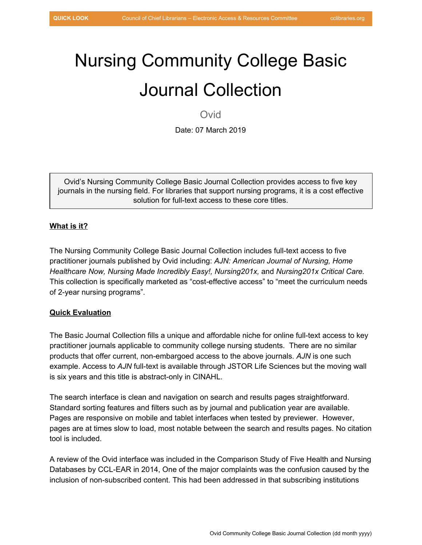# Nursing Community College Basic Journal Collection

Ovid

Date: 07 March 2019

Ovid's Nursing Community College Basic Journal Collection provides access to five key journals in the nursing field. For libraries that support nursing programs, it is a cost effective solution for full-text access to these core titles.

## **What is it?**

The Nursing Community College Basic Journal Collection includes full-text access to five practitioner journals published by Ovid including: *AJN: American Journal of Nursing, Home Healthcare Now, Nursing Made Incredibly Easy!, Nursing201x,* and *Nursing201x Critical Care.* This collection is specifically marketed as "cost-effective access" to "meet the curriculum needs of 2-year nursing programs".

### **Quick Evaluation**

The Basic Journal Collection fills a unique and affordable niche for online full-text access to key practitioner journals applicable to community college nursing students. There are no similar products that offer current, non-embargoed access to the above journals. *AJN* is one such example. Access to *AJN* full-text is available through JSTOR Life Sciences but the moving wall is six years and this title is abstract-only in CINAHL.

The search interface is clean and navigation on search and results pages straightforward. Standard sorting features and filters such as by journal and publication year are available. Pages are responsive on mobile and tablet interfaces when tested by previewer. However, pages are at times slow to load, most notable between the search and results pages. No citation tool is included.

A review of the Ovid interface was included in the Comparison Study of Five Health and Nursing Databases by CCL-EAR in 2014, One of the major complaints was the confusion caused by the inclusion of non-subscribed content. This had been addressed in that subscribing institutions